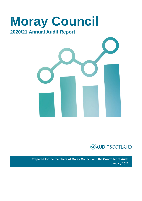



**Prepared for the members of Moray Council and the Controller of Audit** January 2022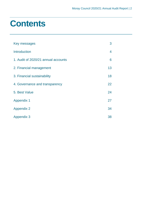## **Contents**

| Key messages                        | 3                        |
|-------------------------------------|--------------------------|
| <b>Introduction</b>                 | $\overline{\mathcal{A}}$ |
| 1. Audit of 2020/21 annual accounts | 6                        |
| 2. Financial management             | 13                       |
| 3. Financial sustainability         | 18                       |
| 4. Governance and transparency      | 22                       |
| 5. Best Value                       | 24                       |
| <b>Appendix 1</b>                   | 27                       |
| <b>Appendix 2</b>                   | 34                       |
| <b>Appendix 3</b>                   | 38                       |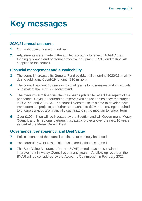## <span id="page-2-0"></span>**Key messages**

#### **2020/21 annual accounts**

- **1** Our audit opinions are unmodified.
- **2** Adjustments were made in the audited accounts to reflect LASAAC grant funding guidance and personal protective equipment (PPE) and testing kits supplied to the council.

### **Financial management and sustainability**

- **3** The council increased its General Fund by £21 million during 2020/21, mainly due to additional Covid-19 funding (£16 million).
- **4** The council paid out £32 million in covid grants to businesses and individuals on behalf of the Scottish Government.
- **5** The medium-term financial plan has been updated to reflect the impact of the pandemic. Covid-19 earmarked reserves will be used to balance the budget in 2021/22 and 2022/23. The council plans to use this time to develop new transformation projects and other approaches to deliver the savings required to ensure services are financially sustainable in the medium to longer-term.
- **6** Over £100 million will be invested by the Scottish and UK Government, Moray Council, and its regional partners in strategic projects over the next 10 years as part of the Moray Growth Deal.

### **Governance, transparency, and Best Value**

- **7** Political control of the council continues to be finely balanced.
- **8** The council's Cyber Essentials Plus accreditation has lapsed.
- **9** The Best Value Assurance Report (BVAR) noted a lack of sustained improvement in Moray Council over many years. A follow-up report on the BVAR will be considered by the Accounts Commission in February 2022.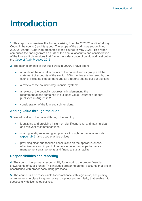## <span id="page-3-0"></span>**Introduction**

**1.** This report summarises the findings arising from the 2020/21 audit of Moray Council (the council) and its group. The scope of the audit was set out in our 2020/21 Annual Audit Plan presented to the council in May 2021. This report comprises the findings from an audit of the annual accounts and consideration of the four audit dimensions that frame the wider scope of public audit set out in the [Code of Audit Practice 2016.](http://www.audit-scotland.gov.uk/report/code-of-audit-practice-2016)

**2.** The main elements of our audit work in 2020/21 have been:

- an audit of the annual accounts of the council and its group and the statement of accounts of the section 106 charities administered by the council including independent auditor's reports setting out our opinions
- a review of the council's key financial systems
- a review of the council's progress in implementing the recommendations contained in our Best Value Assurance Report published in August 2020
- consideration of the four audit dimensions.

#### **Adding value through the audit**

**3.** We add value to the council through the audit by:

- identifying and providing insight on significant risks, and making clear and relevant recommendations
- sharing intelligence and good practice through our national reports [\(Appendix 3\)](#page-37-0) and good practice guides
- providing clear and focused conclusions on the appropriateness, effectiveness and impact of corporate governance, performance management arrangements and financial sustainability.

#### **Responsibilities and reporting**

**4.** The council has primary responsibility for ensuring the proper financial stewardship of public funds. This includes preparing annual accounts that are in accordance with proper accounting practices.

**5.** The council is also responsible for compliance with legislation, and putting arrangements in place for governance, propriety and regularity that enable it to successfully deliver its objectives.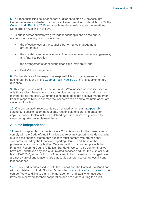**6.** Our responsibilities as independent auditor appointed by the Accounts Commission are established by the Local Government in Scotland Act 1973, the [Code of Audit Practice 2016](http://www.audit-scotland.gov.uk/report/code-of-audit-practice-2016) and supplementary guidance, and International Standards on Auditing in the UK.

**7.** As public sector auditors we give independent opinions on the annual accounts. Additionally, we conclude on:

- the effectiveness of the council's performance management arrangements
- the suitability and effectiveness of corporate governance arrangements, and financial position
- the arrangements for securing financial sustainability and
- Best Value arrangements.

**8.** Further details of the respective responsibilities of management and the auditor can be found in the [Code of Audit Practice 2016.](http://www.audit-scotland.gov.uk/report/code-of-audit-practice-2016) and supplementary guidance.

**9.** This report raises matters from our audit. Weaknesses or risks identified are only those which have come to our attention during our normal audit work and may not be all that exist. Communicating these does not absolve management from its responsibility to address the issues we raise and to maintain adequate systems of control.

**10.** Our annual audit report contains an agreed action plan at [Appendix 1](#page-26-0) setting out specific recommendations, responsible officers, and dates for implementation. It also includes outstanding actions from last year and the steps being taken to implement them.

#### **Auditor independence**

**11.** Auditors appointed by the Accounts Commission or Auditor General must comply with the Code of Audit Practice and relevant supporting guidance. When auditing the financial statements auditors must comply with professional standards issued by the Financial Reporting Council and those of the professional accountancy bodies. We can confirm that we comply with the Financial Reporting Council's Ethical Standard. We can also confirm that we have not undertaken any non-audit related services and that the 2020/21 audit fee of £246,240, as set out in our Annual Audit Plan, remains unchanged. We are not aware of any relationships that could compromise our objectivity and independence.

**12.** This report is addressed to both the council and the Controller of Audit and will be published on Audit Scotland's website [www.audit-scotland.gov.uk](http://www.audit-scotland.gov.uk/) in due course. We would like to thank the management and staff who have been involved in our work for their cooperation and assistance during the audit.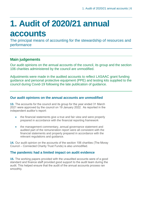# <span id="page-5-0"></span>**1. Audit of 2020/21 annual accounts**

The principal means of accounting for the stewardship of resources and performance

### **Main judgements**

Our audit opinions on the annual accounts of the council, its group and the section 106 charities administered by the council are unmodified.

Adjustments were made in the audited accounts to reflect LASAAC grant funding guidance and personal protective equipment (PPE) and testing kits supplied to the council during Covid-19 following the late publication of guidance.

#### **Our audit opinions on the annual accounts are unmodified**

**13.** The accounts for the council and its group for the year ended 31 March 2021 were approved by the council on 19 January 2022. As reported in the independent auditor's report:

- the financial statements give a true and fair view and were properly prepared in accordance with the financial reporting framework
- the management commentary, annual governance statement and audited part of the remuneration report were all consistent with the financial statements and properly prepared in accordance with the relevant regulations and guidance.

**14.** Our audit opinion on the accounts of the section 106 charities (The Moray Council – Connected Charity Trust Funds) is also unmodified.

#### **The pandemic had a limited impact on audit evidence**

**15.** The working papers provided with the unaudited accounts were of a good standard and finance staff provided good support to the audit team during the audit. This helped ensure that the audit of the annual accounts process ran smoothly.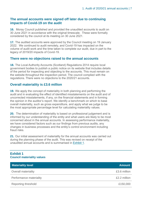#### **The annual accounts were signed off later due to continuing impacts of Covid-19 on the audit**

**16.** Moray Council published and provided the unaudited accounts to audit on 30 June 2021 in accordance with the original timescale. These were formally considered by the council at its meeting on 30 June 2021.

**17.** The audited accounts were approved by the Council meeting on 19 January 2022. We continued to audit remotely, and Covid-19 has impacted on the volume of audit work and the time taken to complete our audit, due in part to the legacy of 2019/20 impacts of Covid-19.

#### **There were no objections raised to the annual accounts**

**18.** The Local Authority Accounts (Scotland) Regulations 2014 require local government bodies to publish a public notice on its website that includes details of the period for inspecting and objecting to the accounts. This must remain on the website throughout the inspection period. The council complied with the regulations. There were no objections to the 2020/21 accounts.

#### **Overall materiality is £3.6 million**

**19.** We apply the concept of materiality in both planning and performing the audit and in evaluating the effect of identified misstatements on the audit and of uncorrected misstatements, if any, on the financial statements and in forming the opinion in the auditor's report. We identify a benchmark on which to base overall materiality, such as gross expenditure, and apply what we judge to be the most appropriate percentage level for calculating materiality values.

**20.** The determination of materiality is based on professional judgement and is informed by our understanding of the entity and what users are likely to be most concerned about in the annual accounts. In assessing performance materiality, we have considered factors such as our findings from previous audits, any changes in business processes and the entity's control environment including fraud risks.

**21.** Our initial assessment of materiality for the annual accounts was carried out during the planning phase of the audit. This was revised on receipt of the unaudited annual accounts and is summarised in [Exhibit 1.](#page-6-0)

#### <span id="page-6-0"></span>**Exhibit 1 Council materiality values**

| <b>Materiality level</b> | <b>Amount</b> |
|--------------------------|---------------|
| Overall materiality      | £3.6 million  |
| Performance materiality  | £2.2 million  |
| Reporting threshold      | £150,000      |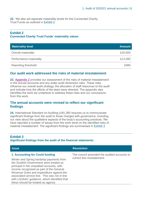<span id="page-7-1"></span>**22.** We also set separate materiality levels for the Connected Charity Trust Funds as outlined in [Exhibit 2.](#page-7-0)

#### <span id="page-7-0"></span>**Exhibit 2 Connected Charity Trust Funds' materiality values**

| <b>Materiality level</b>   | <b>Amount</b> |
|----------------------------|---------------|
| Overall materiality        | £20,000       |
| Performance materiality    | £12,000       |
| <b>Reporting threshold</b> | £980          |

#### **Our audit work addressed the risks of material misstatement**

**23.** Appendix 2 [provides our assessment of the risks of material misstatement](#page-33-0)  [in the annual accounts and any wider audit dimension risks. These risks](#page-33-0)  [influence our overall audit strategy, the allocation of staff resources to the audit](#page-33-0)  [and indicate how the efforts of the team were directed. The appendix also](#page-33-0)  [identifies the work we undertook to address these risks and our conclusions](#page-33-0)  [from this work.](#page-33-0) 

#### **The annual accounts were revised to reflect our significant findings**

**24.** International Standard on Auditing (UK) 260 requires us to communicate significant findings from the audit to those charged with governance, including our view about the qualitative aspects of the body's accounting practices. We have reported a number of issues from the work done on the identified risks of material misstatement. The significant findings are summarised in [Exhibit 3](#page-7-1).

#### **Exhibit 3 Significant findings from the audit of the financial statements**

| <b>Issue</b>                                                                                                                                                                                                                                                                                                                                                 | <b>Resolution</b>                                                         |
|--------------------------------------------------------------------------------------------------------------------------------------------------------------------------------------------------------------------------------------------------------------------------------------------------------------------------------------------------------------|---------------------------------------------------------------------------|
| 1. Accounting for Covid funding<br>Winter and Spring hardship payments from<br>the Scottish Government were treated as<br>principal in the unaudited accounts, with<br>income recognised as part of the General<br>Revenue Grant and expenditure against the<br>associated service line. This was not in line<br>with LASAAC guidance, which identified that | The council amended the audited accounts to<br>correct this misstatement. |
| these should be treated as agency                                                                                                                                                                                                                                                                                                                            |                                                                           |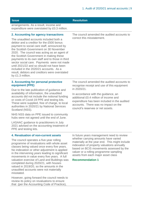| <b>Issue</b>                          | <b>Resolution</b> |
|---------------------------------------|-------------------|
| arrangements. As a result, income and |                   |

### expenditure were overstated by £0.3 million.

#### <span id="page-8-1"></span>**2. Accounting for agency transactions**

The unaudited accounts included both a debtor and a creditor for the £500 bonus payment to social care staff, announced by the Scottish Government on 30 November 2020. The council was acting as an agent of the Scottish Government in making these payments to its own staff and to those in third sector social care. Payments were not made until 2021/22 and so should not have been included in the 2020/21 accounts. As a result, debtors and creditors were overstated by £1.3 million.

#### **3. Accounting for personal protective equipment (PPE)**

Due to the late publication of guidance and availability of information, the unaudited accounts did not include the notional funding or costs of Covid-19 PPE and testing kits. These were supplied, free of charge, to local authorities in 2020/21 by National Services Scotland (NSS).

NHS NSS data on PPE issued to community hubs were not agreed until the end of June.

LASAAC guidance to practitioners in July 2021 advised on the accounting treatment of PPE and testing kits.

The council amended the audited accounts to correct this misstatement.

The council amended the audited accounts to recognise receipt and use of this equipment in 2020/21.

In accordance with the guidance, an additional £0.4 million of income and expenditure has been included in the audited accounts. There was no impact on the council's reserves or net assets.

#### <span id="page-8-0"></span>**4. Revaluation of non-current assets**

The council operates a five-year rolling programme of revaluations with whole asset classes being valued once every five years. No indexation or other adjustment is applied in the intervening years leading to significant movements in value every five years. A full valuation exercise of Land and Buildings was completed during 2020/21, with houses valued in 2019/20, so the amounts in the unaudited accounts were not materially misstated.

However, going forward the council needs to review its policy on revaluations to ensure that (per the Accounting Code of Practice),

In future years management need to review whether carrying amounts have varied materially at the year end. This might include indexation of property valuations annually based on BCIS movements assessed by the valuer or a rolling programme sampling assets from each major asset class

#### **Recommendation 1**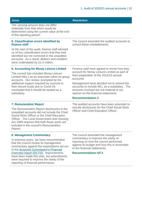<span id="page-9-0"></span>

| <b>Issue</b>                                                                                                                                                                                                                                                                              | <b>Resolution</b>                                                                                                                                                            |  |
|-------------------------------------------------------------------------------------------------------------------------------------------------------------------------------------------------------------------------------------------------------------------------------------------|------------------------------------------------------------------------------------------------------------------------------------------------------------------------------|--|
| "the carrying amount does not differ<br>materially from that which would be<br>determined using the current value at the end<br>of the reporting period".                                                                                                                                 |                                                                                                                                                                              |  |
| 5. Classification errors identified by<br>finance staff                                                                                                                                                                                                                                   | The council amended the audited accounts to<br>correct these misstatements.                                                                                                  |  |
| At the start of the audit, finance staff advised<br>us of four classification errors that they had<br>identified but not corrected in the unaudited<br>accounts. As a result, debtors and creditors<br>were understated by £1.4 million.                                                  |                                                                                                                                                                              |  |
| <b>6. Accounting for Moray Leisure Limited</b>                                                                                                                                                                                                                                            | Finance staff have agreed to revisit how they                                                                                                                                |  |
| The council has included Moray Leisure<br>Limited (MLL) as an associate within its group<br>accounts. Our review, prompted by the                                                                                                                                                         | account for Moray Leisure Limited as part of<br>their preparation of the 2021/22 annual<br>accounts.                                                                         |  |
| additional support required by councils to<br>their leisure trusts due to Covid-19,<br>concluded that it should be treated as a<br>subsidiary.                                                                                                                                            | Management have decided not to amend the<br>accounts to include MLL as a subsidiary. The<br>amounts involved are not material to our<br>opinion on the financial statements. |  |
|                                                                                                                                                                                                                                                                                           | <b>Recommendation 2</b>                                                                                                                                                      |  |
| <b>7. Remuneration Report</b>                                                                                                                                                                                                                                                             | The audited accounts have been amended to                                                                                                                                    |  |
| The Remuneration Report disclosures in the<br>unaudited accounts did not include the Chief<br>Social Work Officer or the Chief Education<br>Officer. The Local Government and Housing<br>Act 1989 requires that both these posts are<br>included in the council's Remuneration<br>Report. | include disclosures for the Chief Social Work<br>Officer and Chief Education Officer.                                                                                        |  |
| 8. Management Commentary                                                                                                                                                                                                                                                                  | The council amended the management                                                                                                                                           |  |
| In previous years, we have recommended<br>that the council review its management<br>commentary against the expectations set out<br>in the Accounts Commission's Financial                                                                                                                 | commentary to improve the clarity of<br>reporting on how the council performed<br>against its budget and how this is reconciled<br>to the financial statements.              |  |
| Overview report 2017/18. Improvements<br>have been made this year, but amendments                                                                                                                                                                                                         | <b>Recommendation b/f 3</b>                                                                                                                                                  |  |

were required to improve the clarity of the

reporting of financial performance.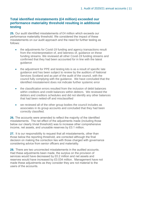#### **Total identified misstatements (£4 million) exceeded our performance materiality threshold resulting in additional testing**

**25.** Our audit identified misstatements of £4 million which exceeds our performance materiality threshold. We considered the impact of these misstatements on our audit approach and the need for further testing as follows:

- the adjustments for Covid-19 funding and agency transactions result from the misinterpretation of, and lateness of, guidance on these funding streams. We reviewed all other Covid-19 funding streams and confirmed that they had been accounted for in line with the latest guidance
- the adjustment for PPE and testing kits is as a result of specific late guidance and has been subject to review by the auditors of National Services Scotland and as part of the audit of the council, with the council fully complying with the guidance. We have concluded that the identified misstatement does not indicate further systemic error
- the classification errors resulted from the inclusion of debit balances within creditors and credit balances within debtors. We reviewed the debtors and creditors schedules and did not identify any other balances that had been netted-off and misclassified
- we reviewed all of the other group bodies the council includes as associates in its group accounts and concluded that they had been correctly classified.

**26.** The accounts were amended to reflect the majority of the identified misstatements. The net effect of the adjustments made (including those below our clearly trivial threshold) was to increase other comprehensive income, net assets, and unusable reserves by £0.1 million.

**27.** It is our responsibility to request that all misstatements, other than those below the reporting threshold, are corrected although the final decision on making the correction lies with those charged with governance considering advice from senior officers and materiality.

**28.** There are two uncorrected misstatements in the audited accounts. Had these adjustments been made, the surplus on the provision of services would have decreased by £0.2 million and net assets and reserves would have increased by £0.034 million. Management have not made these adjustments as they consider they are not material to the users of the accounts.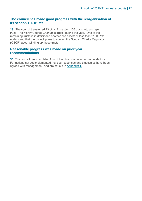#### **The council has made good progress with the reorganisation of its section 106 trusts**

**29.** The council transferred 23 of its 31 section 106 trusts into a single trust, 'The Moray Council Charitable Trust', during the year. One of the remaining trusts is in deficit and another has assets of less than £100. We understand that the council plans to contact the Scottish Charity Regulator (OSCR) about winding up these trusts.

#### **Reasonable progress was made on prior year recommendations**

**30.** The council has completed four of the nine prior year recommendations. For actions not yet implemented, revised responses and timescales have been agreed with management, and are set out in [Appendix 1.](#page-26-0)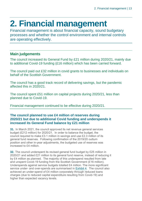# <span id="page-12-0"></span>**2. Financial management**

Financial management is about financial capacity, sound budgetary processes and whether the control environment and internal controls are operating effectively.

### **Main judgements**

The council increased its General Fund by £21 million during 2020/21, mainly due to additional Covid-19 funding (£16 million) which has been carried forward.

The council paid out £32 million in covid grants to businesses and individuals on behalf of the Scottish Government.

The council has a good track record of delivering savings, but the pandemic affected this in 2020/21.

The council spent £51 million on capital projects during 2020/21, less than planned due to Covid-19.

Financial management continued to be effective during 2020/21.

#### **The council planned to use £4 million of reserves during 2020/21 but due to additional Covid funding and underspends it increased its General Fund balance by £21 million**

**31.** In March 2021, the council approved its net revenue general services budget (£212 million) for 2020/21. In order to balance the budget, the council required to make £3.1 million in savings and use £2.3 million of its general fund reserves. Following confirmation of the 2019/20 outturn position and other in-year adjustments, the budgeted use of reserves was increased to £4 million.

**32.** The council underspent its revised general fund budget by £25 million in 2020/21 and added £21 million to its general fund reserve, instead of reducing it by £4 million as planned. The majority of this underspend resulted from late and unspent Covid-19 funding from the Scottish Government (£16 million). Underspends against service budgets totalled £4 million. The more significant service under- and over-spends are summarised in [Exhibit 4](#page-13-0). The council also achieved an under-spend of £4 million corporately through reduced loans charges (due to reduced capital expenditure resulting from Covid-19) and higher than expected vacancy levels.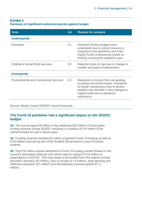#### <span id="page-13-0"></span>**Exhibit 4**

#### **Summary of significant under/overspends against budget**

| <b>Area</b>                                  | Em  | <b>Reason for variance</b>                                                                                                                                                                                          |
|----------------------------------------------|-----|---------------------------------------------------------------------------------------------------------------------------------------------------------------------------------------------------------------------|
| <b>Underspends</b>                           |     |                                                                                                                                                                                                                     |
| Education                                    | 2.1 | Devolved School budgets were<br>underspent due to school closures in<br>response to the pandemic and Pupil<br>Equity Funds underspends based on<br>funding covering the academic year.                              |
| <b>Children's Social Work services</b>       | 3.0 | Reduced costs of care due to change in<br>number and types of placements.                                                                                                                                           |
| <b>Overspends</b>                            |     |                                                                                                                                                                                                                     |
| <b>Environmental and Commercial Services</b> | 2.3 | Reduction in income from car parking,<br>recycling and school meals; overspend<br>on winter maintenance due to severe<br>weather and shortfall in fees charged to<br>capital works due to pandemic<br>restrictions. |

Source: Moray Council 2020/21 Annual Accounts

#### **The Covid-19 pandemic had a significant impact on the 2020/21 budget**

**33.** The council spent £6 million of the additional £22 million of Covid grant funding received during 2020/21 resulting in a surplus of £16 million to be carried forward for use in future years.

**34.** Funding received included £9 million of general Covid-19 funding as well as £2.8 million received as part of the Scottish Government's Loss of Income scheme.

**35.** The £16 million surplus attributed to Covid-19 is being carried forward in the council's earmarked reserves and will be used to support £10.8 million of expenditure in 2021/22. The main areas to be funded from this reserve include education recovery (£4 million), loss of income (£1.6 million), early learning and childcare expansion (£1 million) and discretionary business grants (£1.2 million).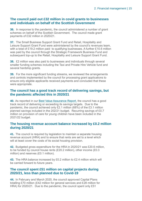#### **The council paid out £32 million in covid grants to businesses and individuals on behalf of the Scottish Government**

**36.** In response to the pandemic, the council administered a number of grant schemes on behalf of the Scottish Government. The council made grant payments of £32 million in 2020/21.

**37.** The Small Business Support Grant Fund and Retail, Hospitality and Leisure Support Grant Fund were administered by the council's revenues team, with a total of £19.2 million paid to qualifying businesses. A further £10.6 million was paid by the council through the Strategic Framework Business Fund and subsequent top-up to the Retail, Hospitality and Leisure Support Grant Fund.

**38.** £2 million was also paid to businesses and individuals through several smaller funding schemes including the Taxi and Private Hire Vehicle fund and several hardship grants.

**39.** For the more significant funding streams, we reviewed the arrangements and controls implemented by the council for processing grant applications to ensure only eligible applicants received payments and concluded that these were appropriate.

#### **The council has a good track record of delivering savings, but the pandemic affected this in 2020/21**

**40.** As reported in our [Best Value Assurance Report,](https://www.audit-scotland.gov.uk/uploads/docs/report/2020/bv_200827_moray.pdf) the council has a good track record of delivering or exceeding its savings targets. Due to the pandemic, the council achieved only £2.1 million (68%) of the £3.1 million planned savings included in the 202/21 budget. Recurring savings of £0.7 million on provision of care for young children have been included in the 2021/22 budget.

#### **The housing revenue account balance increased by £0.2 million during 2020/21**

**41.** The council is required by legislation to maintain a separate housing revenue account (HRA) and to ensure that rents are set to a level which will at least cover the costs of its social housing provision.

**42.** Budgeted gross expenditure for the HRA in 2020/21 was £20.6 million, to be funded by council house rents (£20.2 million), other income (£0.3 million) and reserves (£0.1 million).

**43.** The HRA balance increased by £0.2 million to £2.4 million which will be carried forward to future years.

#### **The council spent £51 million on capital projects during 2020/21, less than planned due to Covid-19**

**44.** In February and March 2020, the council approved Capital Plans totalling £70 million (£42 million for general services and £28 million for HRA) for 2020/21. Due to the pandemic, the council spent only £51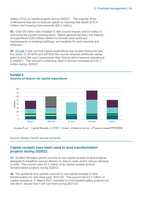million (73%) on capital projects during 2020/21. The majority of the underspend was due to reduced spend on housing new builds (£10.4 million) and housing improvements (£6.3 million).

**45.** Over £8 million was invested in new council houses and £4 million in improving the current housing stock. Within general services, the majority of expenditure (£20 million) related to schools (new build and improvements to existing buildings) and facilities for early learning and childcare.

**46.** [Exhibit 5](#page-15-0) sets out how capital expenditure was funded during the last five years. In 2018/19 and 2019/20 the council received additional capital grant to fund the new Lossiemouth High School which became operational in 2020/21. The council's underlying need to borrow increased by £20.7 million during 2020/21.

#### <span id="page-15-0"></span>**Exhibit 5 Sources of finance for capital expenditure**



Source: Moray Council annual accounts

#### **Capital receipts have been used to fund transformation projects during 2020/21**

**47.** Scottish Ministers permit councils to use capital receipts to fund projects designed to transform service delivery to reduce costs and/or reduce demand, or both. The council used £0.2 million of its capital receipts to fund transformation projects during 2020/21.

**48.** The guidance only permits councils to use capital receipts to fund transformation for one more year: 2021/22. The council has £2.7 million of capital receipts at 31 March 2021 available to fund transformation projects but has still to decide how it will use them during 2021/22.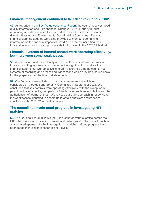#### **Financial management continued to be effective during 2020/21**

**49.** As reported in our [Best Value Assurance Report,](https://www.audit-scotland.gov.uk/uploads/docs/report/2020/bv_200827_moray.pdf) the council receives good quality information about its finances. During 2020/21 quarterly budget monitoring reports continued to be reported to members at the Economic Growth, Housing and Environmental Sustainability Committee. Regular financial planning updates were also provided to members containing information on the financial impact of Covid-19 on the council's finances, financial forecasts and savings proposals for inclusion in the 2021/22 budget.

#### **Financial systems of internal control were operating effectively, but there were some weaknesses**

**50.** As part of our audit, we identify and inspect the key internal controls in those accounting systems which we regard as significant to produce the financial statements. Our objective is to gain assurance that the council has systems of recording and processing transactions which provide a sound basis for the preparation of the financial statements.

**51.** Our findings were included in our management report which was considered by the Audit and Scrutiny Committee in September 2021. We concluded that key controls were operating effectively, with the exception of payroll validation checks, completion of the housing rents reconciliation and the authorisation of journal entries. We revised our audit approach in response to the weaknesses identified to enable us to obtain sufficient assurance to conclude on the 2020/21 annual accounts.

#### **The council has made good progress in investigating NFI matches**

**52.** The National Fraud Initiative (NFI) is a counter-fraud exercise across the UK public sector which aims to prevent and detect fraud. The council has taken a risk-based approach to the investigation of matches. Good progress has been made in investigations for this NFI cycle.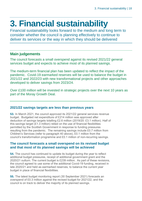# <span id="page-17-0"></span>**3. Financial sustainability**

Financial sustainability looks forward to the medium and long term to consider whether the council is planning effectively to continue to deliver its services or the way in which they should be delivered

### **Main judgements**

The council forecasts a small overspend against its revised 2021/22 general services budget and expects to achieve most of its planned savings.

The medium-term financial plan has been updated to reflect the impact of the pandemic. Covid-19 earmarked reserves will be used to balance the budget in 2021/22 and 2022/23 with new transformational projects and other approaches developed to deliver savings from 2023/24.

Over £100 million will be invested in strategic projects over the next 10 years as part of the Moray Growth Deal.

#### **2021/22 savings targets are less than previous years**

**53.** In March 2021, the council approved its 2021/22 general services revenue budget. Budgeted net expenditure of £214 million was approved after deduction of savings targets totalling £2.6 million (2019/20: £3.1 million). Half of this savings target (£1.3 million) relied on the use of financial flexibilities permitted by the Scottish Government in response to funding pressures resulting from the pandemic. The remaining savings include £0.7 million from Children's Services (refer to paragraph 40 above), £0.1 million from the council's transformation programme and £0.1 million of non-recurring savings.

#### **The council forecasts a small overspend on its revised budget and that most of its planned savings will be achieved**

**54.** The council has continued to update its budget during the year to reflect additional budget pressures, receipt of additional government grant and the 2020/21 outturn. The current budget is £239 million. As part of these revisions, the council agreed to use some of the additional Covid-19 funding, received in late 2020/21 and held as earmarked reserves, to balance the current year budget in place of financial flexibilities.

**55.** The latest budget monitoring report (30 September 2021) forecasts an overspend of £0.3 million against the revised budget for 2021/22, and the council is on track to deliver the majority of its planned savings.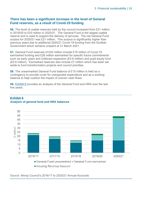#### **There has been a significant increase in the level of General Fund reserves, as a result of Covid-19 funding**

**56.** The level of usable reserves held by the council increased from £31 million in 2019/20 to £53 million in 2020/21. The General Fund is the largest usable reserve and is used to support the delivery of services. The net General Fund surplus for 2020/21 was £21 million. This surplus is significantly higher than previous years due to additional 2020/21 Covid-19 funding from the Scottish Government which remains unspent at 31 March 2021.

**57.** General Fund reserves of £42 million include £16 million of Covid-19 earmarked funding and £26 million earmarked for specific future commitments such as early years and childcare expansion (£0.6 million) and pupil equity fund (£0.8 million). Earmarked reserves also include £7 million which has been set aside to fund transformation projects and council priorities.

**58.** The unearmarked General Fund balance of £15 million is held as a contingency to provide cover for unexpected expenditure and as a working balance to help cushion the impact of uneven cash flows.

**59.** [Exhibit 6](#page-18-0) provides an analysis of the General Fund and HRA over the last five years.



#### <span id="page-18-0"></span>**Exhibit 6 Analysis of general fund and HRA balances**

Source: Moray Council's 2016/17 to 2020/21 Annual Accounts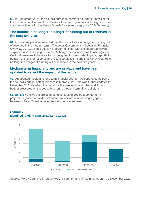**60.** In September 2021, the council agreed to earmark a further £8.8 million of the uncommitted General Fund balance for council priorities including borrowing costs associated with the Moray Growth Deal (see paragraphs 65 & 66 below).

#### **The council is no longer in danger of running out of reserves in the next two years**

**61.** In previous years we reported that the council was in danger of running out of reserves in the medium term. The Local Government in Scotland: Financial Overview 2019/20 notes this is no longer the case, with the council achieving surpluses and increasing reserves. Although the council plans to use significant Covid-19 reserves to balance its budget going forward (refer to paragraph 64 for details), the level of reserves and recent surpluses means that Moray Council is no longer in danger of running out of reserves in the next two years.

#### **Medium term financial plans are in place and have been updated to reflect the impact of the pandemic**

**62.** An updated medium to long term financial strategy was approved as part of the council's budget setting process in March 2021. This was further updated in November 2021 to reflect the impact of the pandemic and other additional budget pressures on the council's short to medium term financial plans.

**63.** [Exhibit 7](#page-19-0) shows the projected funding gaps to 2024/25. Longer term projections (based on mid-point scenario) indicate annual budget gaps of between £3 and £4 million over the following seven years.



#### <span id="page-19-0"></span>**Exhibit 7 Identified funding gaps 2021/22 – 2024/25**

Source: Moray Council's Short to Medium Term Financial Planning report – 30 November 2021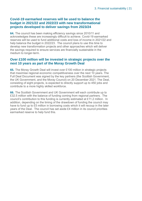#### **Covid-19 earmarked reserves will be used to balance the budget in 2021/22 and 2022/23 with new transformational projects developed to deliver savings from 2023/24**

**64.** The council has been making efficiency savings since 2010/11 and acknowledges these are increasingly difficult to achieve. Covid-19 earmarked reserves will be used to fund additional costs and loss of income in 2021/22 and help balance the budget in 2022/23. The council plans to use this time to develop new transformation projects and other approaches which will deliver the savings required to ensure services are financially sustainable in the medium to longer-term.

#### **Over £100 million will be invested in strategic projects over the next 10 years as part of the Moray Growth Deal**

**65.** The Moray Growth Deal will invest over £100 million in strategic projects that maximise regional economic competitiveness over the next 10 years. The Full Deal Document was signed by the key partners (the Scottish Government, the UK Government, and the Moray Council) on 20 December 2021. The Deal, consisting of eight projects, is expected to directly support up to 450 jobs and contribute to a more highly skilled workforce.

**66.** The Scottish Government and UK Government will each contribute up to £32.5 million with the balance of funding coming from regional partners. The council's contribution to this funding is currently estimated at £11.2 million. In addition, depending on the timing of the drawdown of funding the council may have to fund up to £5 million in borrowing costs which it will recoup in the later years of the Deal. The council has set aside £4 million in its council priorities earmarked reserve to help fund this.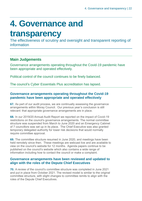# <span id="page-21-0"></span>**4. Governance and**

## **transparency**

The effectiveness of scrutiny and oversight and transparent reporting of information

### **Main Judgements**

Governance arrangements operating throughout the Covid-19 pandemic have been appropriate and operated effectively.

Political control of the council continues to be finely balanced.

The council's Cyber Essentials Plus accreditation has lapsed.

#### **Governance arrangements operating throughout the Covid-19 pandemic have been appropriate and operated effectively**

**67.** As part of our audit process, we are continually assessing the governance arrangements within Moray Council. Our previous year's conclusion is still relevant: that appropriate governance arrangements are in place.

**68.** In our 2019/20 Annual Audit Report we reported on the impact of Covid-19 restrictions on the council's governance arrangements. The normal committee structure was suspended from March to June 2020 and an Emergency Cabinet of 7 councillors was set up in its place. The Chief Executive was also granted temporary delegated authority for lower risk decisions that would normally require committee approval.

**69.** The committee structure resumed in June 2020, and meetings have been held remotely since then. These meetings are webcast live and are available to view on the council's website for 12 months. Agenda papers continue to be published on the council's website which also contains a wide range of information including how to contact the council or make a complaint.

#### **Governance arrangements have been reviewed and updated to align with the roles of the Depute Chief Executives**

**70.** A review of the council's committee structure was completed in June 2021 and put in place from October 2021. The revised model is similar to the original committee structure, with slight changes to committee remits to align with the roles of the Depute Chief Executives.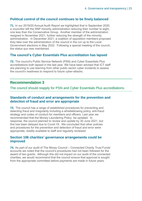#### **Political control of the council continues to be finely balanced**

**71.** In our 2019/20 Annual Audit Report we highlighted that in September 2020, a councillor left the SNP minority administration reducing their number to eight, one less than the Conservative Group. Another member of the administration resigned in November 2021, further reducing the strength of the minority administration. In December 2021, a coalition of opposition members proposed they take over the administration of the council in the run up to the Local Government elections in May 2022. Following a special meeting of the council, the status quo was maintained.

#### **The council's Cyber Essentials Plus accreditation has lapsed**

<span id="page-22-0"></span>**72.** The council's Public Service Network (PSN) and Cyber Essentials Plus accreditations both lapsed in the last year. We have been advised that ICT staff are planning to use learning from other public sector cyber incidents to assess the council's readiness to respond to future cyber-attacks.

#### **Recommendation 3**

The council should reapply for PSN and Cyber Essentials Plus accreditations.

#### **Standards of conduct and arrangements for the prevention and detection of fraud and error are appropriate**

**73.** The council has a range of established procedures for preventing and detecting fraud and irregularity including a whistleblowing policy, anti-fraud strategy and codes of conduct for members and officers. Last year we recommended that the Money Laundering Policy be updated. In response, the council planned to review and update by 30 June 2021, but this has been delayed due to Covid-19. We concluded that other policies and procedures for the prevention and detection of fraud and error were appropriate, readily available to staff and regularly reviewed.

#### **Section 106 charities' governance arrangements could be improved**

**74.** As part of our audit of The Moray Council – Connected Charity Trust Funds' accounts we noted that the council's procedures had not been followed for the award of two grants. Although this did not impact on our audit of the connected charities, we would recommend that the council ensure that approval is sought from the appropriate committee before payments are made in future years.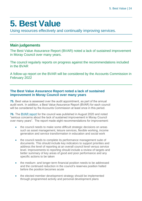## <span id="page-23-0"></span>**5. Best Value**

Using resources effectively and continually improving services.

### **Main judgements**

The Best Value Assurance Report (BVAR) noted a lack of sustained improvement in Moray Council over many years.

The council regularly reports on progress against the recommendations included in the BVAR

A follow-up report on the BVAR will be considered by the Accounts Commission in February 2022

#### **The Best Value Assurance Report noted a lack of sustained improvement in Moray Council over many years**

**75.** Best value is assessed over the audit appointment, as part of the annual audit work. In addition, a Best Value Assurance Report (BVAR) for each council will be considered by the Accounts Commission at least once in this period.

**76.** The [BVAR report](https://www.audit-scotland.gov.uk/uploads/docs/report/2020/bv_200827_moray.pdf) for the council was published in August 2020 and noted "serious concerns about the lack of sustained improvement in Moray Council over many years". The report made eight recommendations for improvement:

- the council needs to make some difficult strategic decisions on areas such as asset management, leisure services, flexible working, income generation and service transformation in education and social work
- the council needs to complete its performance management suite of documents. This should include key indicators to support priorities and address the level of reporting at an overall council level versus service level. Improvements to reporting should include a review of targets and better summary of key areas of good and poor performance and any specific actions to be taken
- the medium- and longer-term financial position needs to be addressed and the continued reduction in the council's reserves position halted before the position becomes acute
- the elected member development strategy should be implemented through programmed activity and personal development plans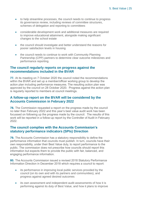- to help streamline processes, the council needs to continue to progress its governance review, including reviews of committee structures, schemes of delegation and reporting to committees
- considerable development work and additional measures are required to improve educational attainment, alongside making significant changes to the school estate
- the council should investigate and better understand the reasons for poorer satisfaction levels in housing
- the council needs to continue to work with Community Planning Partnership (CPP) partners to determine clear outcome milestones and performance reporting.

#### **The council regularly reports on progress against the recommendations included in the BVAR**

**77.** At its meeting on 7 October 2020 the council noted the recommendations within the BVAR and set up a member/officer working group to develop the action plan including performance measures. The resulting action plan was approved by the council on 28 October 2020. Progress against the action plan is regularly reported to members at council meetings.

#### **A follow-up report on the BVAR will be considered by the Accounts Commission in February 2022**

**78.** The Commission requested a report on the progress made by the council no later than February 2022 and this year's best value audit work has been focussed on following up the progress made by the council. The results of this work will be reported in a follow-up report by the Controller of Audit in February 2022.

#### **The council complies with the Accounts Commission's statutory performance indicators (SPIs) Direction**

**79.** The Accounts Commission has a statutory responsibility to define the performance information that councils must publish. In turn, councils have their own responsibility, under their Best Value duty, to report performance to the public. The commission does not prescribe how councils should report this information but expects them to provide the public with fair, balanced, and engaging performance information.

**80.** The Accounts Commission issued a revised 2018 Statutory Performance Information Direction in December 2018 which requires a council to report:

- its performance in improving local public services provided by the council (on its own and with its partners and communities), and progress against agreed desired outcomes
- its own assessment and independent audit assessments of how it is performing against its duty of Best Value, and how it plans to improve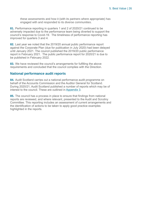these assessments and how it (with its partners where appropriate) has engaged with and responded to its diverse communities.

**81.** Performance reporting in quarters 1 and 2 of 2020/21 continued to be adversely impacted due to the performance team being diverted to support the council's response to Covid-19. The timeliness of performance reporting has improved for quarters 3 and 4.

**82.** Last year we noted that the 2019/20 annual public performance report against the Corporate Plan (due for publication in July 2020) had been delayed until January 2021. The council published the 2019/20 public performance report in February 2021. The public performance report for 2020/21 is due to be published in February 2022.

**83.** We have reviewed the council's arrangements for fulfilling the above requirements and concluded that the council complies with the Direction.

#### **National performance audit reports**

**84.** Audit Scotland carries out a national performance audit programme on behalf of the Accounts Commission and the Auditor General for Scotland. During 2020/21, Audit Scotland published a number of reports which may be of interest to the council. These are outlined in [Appendix 3.](#page-37-0)

**85.** The council has a process in place to ensure that findings from national reports are reviewed, and where relevant, presented to the Audit and Scrutiny Committee. This reporting includes an assessment of current arrangements and the identification of actions to be taken to apply good practice examples highlighted in the reports.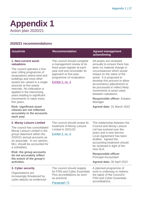## <span id="page-26-0"></span>**Appendix 1** Action plan 2020/21

#### **2020/21 recommendations**

| <b>Issue/risk</b>                                                                                                                                                                                                                                                                                                                                 | <b>Recommendation</b>                                                                                                                                                                              | <b>Agreed management</b><br>action/timing                                                                                                                                                                                                                                                                                                        |  |
|---------------------------------------------------------------------------------------------------------------------------------------------------------------------------------------------------------------------------------------------------------------------------------------------------------------------------------------------------|----------------------------------------------------------------------------------------------------------------------------------------------------------------------------------------------------|--------------------------------------------------------------------------------------------------------------------------------------------------------------------------------------------------------------------------------------------------------------------------------------------------------------------------------------------------|--|
| 1. Non-current asset<br>valuations<br>The council operates a five-<br>year rolling programme of<br>revaluations where land and<br>buildings and most other<br>assets are valued in a single<br>exercise at five-yearly<br>intervals. No indexation is<br>applied in the intervening<br>years leading to significant                               | The council should complete<br>a management review of its<br>fixed asset register at each<br>year end and reconsider its<br>approach to five-year<br>programme of revaluation.<br>Exhibit 3, no. 4 | All assets are reviewed<br>annually to ensure there has<br>been no material change in<br>circumstances which would<br>impact on the value of the<br>asset. It is proposed to<br>develop this process to allow<br>accountancy adjustments to<br>be processed to reflect likely<br>movements is asset value<br>between valuations.                 |  |
| movements in value every<br>five years.                                                                                                                                                                                                                                                                                                           |                                                                                                                                                                                                    | <b>Responsible officer: Estates</b><br>Manager                                                                                                                                                                                                                                                                                                   |  |
| <b>Risk: significant asset</b><br>classes are not reflected<br>accurately in the accounts<br>each year.                                                                                                                                                                                                                                           |                                                                                                                                                                                                    | Agreed date: 31 March 2022                                                                                                                                                                                                                                                                                                                       |  |
| 2. Moray Leisure Limited<br>The council has consolidated<br>Moray Leisure Limited in the<br>group statement within the<br>2020/21 annual accounts as<br>an associate. In our opinion,<br>MLL should be accounted for<br>a subsidiary.<br><b>Risk: the group accounts</b><br>do not accurately reflect<br>the extent of the group's<br>activities. | The council should review its<br>treatment of Moray Leisure<br>Limited in 2021/22.<br>Exhibit 3, no. 6                                                                                             | The relationship between the<br><b>Council and Moray Leisure</b><br>Ltd has evolved over the<br>years and a new Service<br>Level Agreement has been<br>drafted. Agreed the<br>accounting treatment should<br>be reviewed in light of the<br>new SLA.<br><b>Responsible officer:</b><br><b>Principal Accountant</b><br>Agreed date: 30 April 2022 |  |
| 3. Cyber security<br>Organisations are<br>increasingly threatened by<br>cyber-attacks as evidenced                                                                                                                                                                                                                                                | The council should reapply<br>for PSN and Cyber Essentials<br>Plus accreditations as soon<br>as practical.                                                                                         | A planned programme of<br>work is underway to redress<br>the lapse of the Council's<br><b>PSN and Cyber Essentials</b><br>accreditations.                                                                                                                                                                                                        |  |
|                                                                                                                                                                                                                                                                                                                                                   | Paragraph 72                                                                                                                                                                                       |                                                                                                                                                                                                                                                                                                                                                  |  |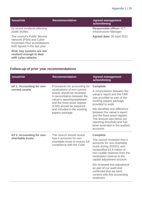| <b>Issue/risk</b>                                                                                                                 | <b>Recommendation</b> | <b>Agreed management</b><br>action/timing          |
|-----------------------------------------------------------------------------------------------------------------------------------|-----------------------|----------------------------------------------------|
| by recent incidents affecting<br>public bodies.                                                                                   |                       | Responsible officer: ICT<br>Infrastructure Manager |
| The council's Public Service<br>Network (PSN) and Cyber<br><b>Essentials Plus accreditations</b><br>both lapsed in the last year. |                       | Agreed date: 30 April 2022                         |
| Risk: key systems are not<br>resilient enough to deal<br>with cyber-attacks.                                                      |                       |                                                    |

### **Follow-up of prior year recommendations**

| <b>Issue/risk</b>                                                                                                                                                                                                                         | <b>Recommendation</b>                                                                                                                                         | <b>Agreed management</b><br>action/timing                                                                                                                                                                                               |
|-------------------------------------------------------------------------------------------------------------------------------------------------------------------------------------------------------------------------------------------|---------------------------------------------------------------------------------------------------------------------------------------------------------------|-----------------------------------------------------------------------------------------------------------------------------------------------------------------------------------------------------------------------------------------|
| b/f 1. Accounting for non-<br>Procedures for accounting for<br>revaluations of non-current<br>current assets<br>assets should be reviewed.<br>A reconciliation between the<br>valuer's report/spreadsheet<br>and the fixed asset register | <b>Complete</b><br>A reconciliation between the<br>valuer's report and the FAR<br>was provided as part of the<br>working papers package<br>provided to audit. |                                                                                                                                                                                                                                         |
|                                                                                                                                                                                                                                           | (FAR) should be prepared<br>and included in the working<br>papers package.                                                                                    | We identified one difference<br>between the valuer's report<br>and the fixed asset register.<br>The amount was below our<br>reporting threshold and has<br>been amended in the audited<br>accounts.                                     |
| b/f 2. Accounting for non-<br>charitable trusts                                                                                                                                                                                           | The council should review<br>how it accounts for non-<br>charitable trusts to ensure full<br>compliance with the Code.                                        | <b>Complete</b><br>The council reviewed how it<br>accounts for non-charitable<br>trusts during 2020/21 and<br>reclassified £3.4 million of<br>non-usable reserves from the<br>revaluation reserve to the<br>capital adjustment account. |
|                                                                                                                                                                                                                                           |                                                                                                                                                               | We reviewed this adjustment<br>as part of our audit and<br>confirmed that we were<br>content with this accounting<br>treatment.                                                                                                         |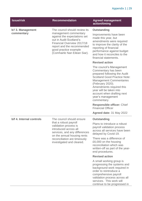| <b>Issue/risk</b>        | <b>Recommendation</b>                                                                                                                                                                                 | <b>Agreed management</b><br>action/timing                                                                                                                                                                                                                                                             |
|--------------------------|-------------------------------------------------------------------------------------------------------------------------------------------------------------------------------------------------------|-------------------------------------------------------------------------------------------------------------------------------------------------------------------------------------------------------------------------------------------------------------------------------------------------------|
| b/f 3. Management        | The council should review its                                                                                                                                                                         | <b>Outstanding</b>                                                                                                                                                                                                                                                                                    |
| commentary               | management commentary<br>against the expectations set<br>out in Audit Scotland's<br>Financial Overview 2017/18<br>report and the recommended<br>good practice example<br>(Comhairle Nan Eilean Siar). | Improvements have been<br>made this year, but<br>amendments were required<br>to improve the clarity of the<br>reporting of financial<br>performance against budget<br>and how it reconciles to the<br>financial statements.                                                                           |
|                          |                                                                                                                                                                                                       | <b>Revised action</b>                                                                                                                                                                                                                                                                                 |
|                          |                                                                                                                                                                                                       | The council's Management<br>Commentary has been<br>prepared following the Audit<br><b>Scotland Good Practice Note:</b><br><b>Management Commentaries</b><br>(February 2020).<br>Amendments required this<br>year will be taken into<br>account when drafting next<br>year's management<br>commentary. |
|                          |                                                                                                                                                                                                       | <b>Responsible officer: Chief</b><br><b>Financial Officer</b>                                                                                                                                                                                                                                         |
|                          |                                                                                                                                                                                                       | Agreed date: 31 May 2022                                                                                                                                                                                                                                                                              |
| b/f 4. Internal controls | The council should ensure                                                                                                                                                                             | <b>Outstanding</b>                                                                                                                                                                                                                                                                                    |
|                          | that a robust payroll<br>validation process is<br>introduced across all<br>services, and any differences<br>on the annual housing rents                                                               | Plans to introduce a robust<br>payroll validation process<br>across all services have been<br>delayed by Covid-19.                                                                                                                                                                                    |
|                          | reconciliation are timeously<br>investigated and cleared.                                                                                                                                             | There was a difference of<br>£6,000 on the housing<br>reconciliation which was<br>written-off as part of the year-<br>end procedures.                                                                                                                                                                 |
|                          |                                                                                                                                                                                                       | <b>Revised action</b>                                                                                                                                                                                                                                                                                 |
|                          |                                                                                                                                                                                                       | A small working group is<br>progressing the systems and<br>background work required in<br>order to reintroduce a<br>comprehensive payroll<br>validation process across all<br>services. This work will<br>continue to be progressed in                                                                |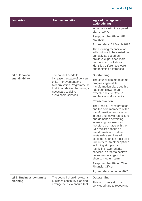| <b>Issue/risk</b>                      | <b>Recommendation</b>                                                                                                                                                            | <b>Agreed management</b><br>action/timing                                                                                                                                                                                                                                                                                                                                                                                                                                                                                                                 |
|----------------------------------------|----------------------------------------------------------------------------------------------------------------------------------------------------------------------------------|-----------------------------------------------------------------------------------------------------------------------------------------------------------------------------------------------------------------------------------------------------------------------------------------------------------------------------------------------------------------------------------------------------------------------------------------------------------------------------------------------------------------------------------------------------------|
|                                        |                                                                                                                                                                                  | accordance with the agreed<br>plan of work.                                                                                                                                                                                                                                                                                                                                                                                                                                                                                                               |
|                                        |                                                                                                                                                                                  | <b>Responsible officer: HR</b><br>Manager                                                                                                                                                                                                                                                                                                                                                                                                                                                                                                                 |
|                                        |                                                                                                                                                                                  | Agreed date: 31 March 2022                                                                                                                                                                                                                                                                                                                                                                                                                                                                                                                                |
|                                        |                                                                                                                                                                                  | The Housing reconciliation<br>will continue to be carried out<br>annually as based on<br>previous experience more<br>frequent reconciliations<br>identified differences were<br>due to timing differences.                                                                                                                                                                                                                                                                                                                                                |
| b/f 5. Financial                       | The council needs to                                                                                                                                                             | <b>Outstanding</b>                                                                                                                                                                                                                                                                                                                                                                                                                                                                                                                                        |
| sustainability                         | increase the pace of delivery<br>of its Improvement and<br><b>Modernisation Programme so</b><br>that it can deliver the savings<br>necessary to deliver<br>sustainable services. | The council has made some<br>progress against its<br>transformation plan, but this<br>has been slower than<br>expected due to Covid-19<br>and lack of staff capacity.                                                                                                                                                                                                                                                                                                                                                                                     |
|                                        |                                                                                                                                                                                  | <b>Revised action</b>                                                                                                                                                                                                                                                                                                                                                                                                                                                                                                                                     |
|                                        |                                                                                                                                                                                  | The Head of Transformation<br>and the core members of the<br>transformation team are now<br>in post and, covid restrictions<br>and demands permitting,<br>increasing progress can<br>therefore be made with the<br>IMP. Whilst a focus on<br>transformation to deliver<br>sustainable services will<br>continue, attention must also<br>turn in 22/23 to other options,<br>including stopping and<br>restricting lower priority<br>services in order to achieve<br>necessary savings in the<br>short to medium term.<br><b>Responsible officer: Chief</b> |
|                                        |                                                                                                                                                                                  | <b>Financial Officer</b><br><b>Agreed date: Autumn 2022</b>                                                                                                                                                                                                                                                                                                                                                                                                                                                                                               |
|                                        |                                                                                                                                                                                  |                                                                                                                                                                                                                                                                                                                                                                                                                                                                                                                                                           |
| b/f 6. Business continuity<br>planning | The council should review its<br>business continuity planning<br>arrangements to ensure that                                                                                     | <b>Outstanding</b><br>This work has yet to be<br>concluded due to resourcing                                                                                                                                                                                                                                                                                                                                                                                                                                                                              |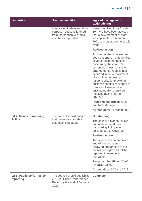| <b>Issue/risk</b>                        | <b>Recommendation</b>                                                                                            | <b>Agreed management</b><br>action/timing                                                                                                                                                                                                                                                                                                                                                                       |
|------------------------------------------|------------------------------------------------------------------------------------------------------------------|-----------------------------------------------------------------------------------------------------------------------------------------------------------------------------------------------------------------------------------------------------------------------------------------------------------------------------------------------------------------------------------------------------------------|
|                                          | they are up to date and fit for<br>purpose. Lessons learned<br>from the pandemic should<br>also be incorporated. | issues resulting from Covid-<br>19. We have been advised<br>that a new member of staff<br>was appointed in Autumn<br>2021 to progress some of this<br>work.                                                                                                                                                                                                                                                     |
|                                          |                                                                                                                  | <b>Revised action</b>                                                                                                                                                                                                                                                                                                                                                                                           |
|                                          |                                                                                                                  | An Internal Audit review has<br>been undertaken that detailed<br>several recommendations<br>concerning the council's<br>current business continuity<br>arrangements. A delay has<br>occurred in the appointment<br>of an officer to take up<br>responsibility for providing<br>business continuity support to<br>Services. However, it is<br>anticipated this should be<br>resolved by the start of<br>2021/22. |
|                                          |                                                                                                                  | <b>Responsible officer: Audit</b><br>and Risk Manager                                                                                                                                                                                                                                                                                                                                                           |
|                                          |                                                                                                                  | Agreed date: 31 March 2022                                                                                                                                                                                                                                                                                                                                                                                      |
| b/f 7. Money Laundering<br><b>Policy</b> | The council should ensure<br>that the money laundering<br>guidance is updated.                                   | <b>Outstanding</b>                                                                                                                                                                                                                                                                                                                                                                                              |
|                                          |                                                                                                                  | The council's plan to review<br>and update the Money<br>Laundering Policy was<br>delayed due to Covid-19.                                                                                                                                                                                                                                                                                                       |
|                                          |                                                                                                                  | <b>Revised action</b>                                                                                                                                                                                                                                                                                                                                                                                           |
|                                          |                                                                                                                  | The review has commenced<br>and will be completed<br>following preparation of the<br>council's budget and will be<br>reported to members<br>thereafter.                                                                                                                                                                                                                                                         |
|                                          |                                                                                                                  | <b>Responsible officer: Chief</b><br><b>Financial Officer</b>                                                                                                                                                                                                                                                                                                                                                   |
|                                          |                                                                                                                  | Agreed date: 30 June 2022                                                                                                                                                                                                                                                                                                                                                                                       |
| b/f 8. Public performance<br>reporting   | The council should publish its<br>2019/20 Public Performance<br>Report by the end of January<br>2021.            | <b>Complete</b>                                                                                                                                                                                                                                                                                                                                                                                                 |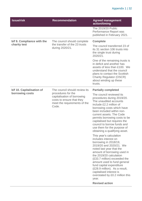| <b>Issue/risk</b>                            | <b>Recommendation</b>                                                                                                                                    | <b>Agreed management</b><br>action/timing                                                                                                                                                                                                                                                                                                                                                                                                                                                                                                                                                                                                                                                                                                                                                        |
|----------------------------------------------|----------------------------------------------------------------------------------------------------------------------------------------------------------|--------------------------------------------------------------------------------------------------------------------------------------------------------------------------------------------------------------------------------------------------------------------------------------------------------------------------------------------------------------------------------------------------------------------------------------------------------------------------------------------------------------------------------------------------------------------------------------------------------------------------------------------------------------------------------------------------------------------------------------------------------------------------------------------------|
|                                              |                                                                                                                                                          | The 2019/20 Public<br>Performance Report was<br>published in February 2021.                                                                                                                                                                                                                                                                                                                                                                                                                                                                                                                                                                                                                                                                                                                      |
| b/f 9. Compliance with the<br>charity test   | The council should complete<br>the transfer of the 23 trusts<br>during 2020/21.                                                                          | <b>Complete</b>                                                                                                                                                                                                                                                                                                                                                                                                                                                                                                                                                                                                                                                                                                                                                                                  |
|                                              |                                                                                                                                                          | The council transferred 23 of<br>its 31 section 106 trusts into<br>the single trust during<br>2020/21.                                                                                                                                                                                                                                                                                                                                                                                                                                                                                                                                                                                                                                                                                           |
|                                              |                                                                                                                                                          | One of the remaining trusts is<br>in deficit and another has<br>assets of less than £100. We<br>understand that the council<br>plans to contact the Scottish<br><b>Charity Regulator (OSCR)</b><br>about winding up these<br>trusts.                                                                                                                                                                                                                                                                                                                                                                                                                                                                                                                                                             |
| b/f 10. Capitalisation of<br>borrowing costs | The council should review its<br>procedures for the<br>capitalisation of borrowing<br>costs to ensure that they<br>meet the requirements of the<br>Code. | <b>Partially completed</b><br>The council reviewed its<br>procedures during 2019/20.<br>The unaudited accounts<br>include £2.2 million of<br>borrowing costs which have<br>been included within non-<br>current assets. The Code<br>permits borrowing costs to be<br>capitalised but requires the<br>council to borrow funds and<br>use them for the purpose of<br>obtaining a qualifying asset.<br>This year's calculation<br>includes interest on<br>borrowing in 2018/19,<br>2019/20 and 2020/21. We<br>noted last year that the<br>amount of borrowing used in<br>the 2019/20 calculation<br>(£33.7 million) exceeded the<br>amount used to fund general<br>fund capital expenditure<br>(£28.9 million). As a result,<br>capitalised interest is<br>overstated by £0.2 million this<br>year. |
|                                              |                                                                                                                                                          | <b>Revised action</b>                                                                                                                                                                                                                                                                                                                                                                                                                                                                                                                                                                                                                                                                                                                                                                            |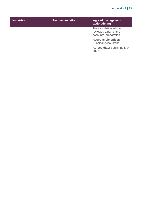| <b>Issue/risk</b> | <b>Recommendation</b> | <b>Agreed management</b><br>action/timing                                   |
|-------------------|-----------------------|-----------------------------------------------------------------------------|
|                   |                       | The calculation will be<br>reviewed a part of the<br>accounts' preparation. |
|                   |                       | <b>Responsible officer:</b><br><b>Principal Accountant</b>                  |
|                   |                       | <b>Agreed date: beginning May</b><br>2022.                                  |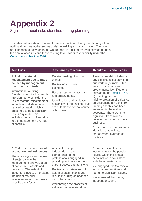## <span id="page-33-0"></span>**Appendix 2**

Significant audit risks identified during planning

The table below sets out the audit risks we identified during our planning of the audit and how we addressed each risk in arriving at our conclusion. The risks are categorised between those where there is a risk of material misstatement in the annual accounts and those relating to our wider responsibility under the [Code of Audit Practice 2016.](http://www.audit-scotland.gov.uk/report/code-of-audit-practice-2016)

#### **1. Risk of material misstatement due to fraud caused by management override of controls**

International Auditing Standards require that audits are planned to consider the risk of material misstatement in the financial statements caused by fraud, which is presumed to be a significant risk in any audit. This includes the risk of fraud due to the management override of controls.

Detailed testing of journal entries.

Review of accounting estimates.

Focused testing of accruals and prepayments.

Identification and evaluation of significant transactions that are outside the normal course of business.

#### **Audit risk Assurance procedure Results and conclusions**

**Results:** we did not identify any significant issues within our work on journals. Our testing of accruals and prepayments identified one misstatement [\(Exhibit 3, no.](#page-8-1)  [2\)](#page-8-1) resulting from a misinterpretation of guidance on accounting for Covid-19 funding and this has been amended in the audited accounts. There were no significant transactions outside the normal course of business.

**Conclusion:** no issues were identified that indicate management override of controls.

#### **2. Risk of error in areas of estimation and judgement**

There is a significant degree of subjectivity in the measurement and valuation of non-current assets and pensions. The extent of judgement involved increases the risk of material misstatement and requires a specific audit focus.

Assess the scope, independence and competence of the professionals engaged in providing estimates for noncurrent assets and pensions.

Review appropriateness of actuarial assumptions and results including comparison with other councils.

Walkthrough the process of valuation to understand the

**Results:** estimates and judgements for the pension figures within the annual accounts were consistent with the actuarial report.

We engaged PwC to review actuarial assumptions and found no significant issues.

We assessed the scope, independence and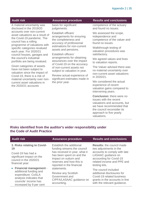A material uncertainty was disclosed in the 2019/20 accounts over non-current asset valuations as a result of the Covid-19 pandemic. The council has a rolling programme of valuations with specific categories revalued each year. For 2020/21 council houses, garages and the council's industrial portfolio are being revalued.

Given categories of assets have not been subject to valuation since the impact of Covid-19, there is a risk of material uncertainty over noncurrent asset valuations in the 2020/21 accounts

basis for significant judgements.

Establish officers' arrangements for ensuring the completeness and accuracy of professional estimations for non-current assets and pensions.

Establish officers' arrangements for obtaining assurances over the impact of Covid-19 on the accuracy of non-current assets not subject to valuation in year.

Review actual experience of significant estimates made in the prior year.

#### **Audit risk Assurance procedure Results and conclusions**

competence of the actuary and found no issues.

We assessed the scope, independence and competence of the valuer and found no issues.

Walkthrough testing of valuation procedures was satisfactory.

We agreed values and lives to valuation reports.

The Valuer advised there was no material uncertainty over non-current asset valuations in 2020/21.

We considered the actual experience of recent valuation gains compared to intervening years.

**Conclusion:** there were no issues with the recent valuations and accounts, but we have recommended that the council reconsider its approach to five yearly valuations.

#### **Risks identified from the auditor's wider responsibility under the Code of Audit Practice**

#### **3. Risks relating to Covid-19**

Covid-19 has had a significant impact on the council in the 2020/21 financial year:

• **Financial management** additional funding and expenditure. CoSLA analysis indicates that councils' income has increased by 9 per cent

Establish the additional funding streams the council has received in year, what it has been spent on and the impact on outturn and reserves and how this is reported in the financial statements.

Review any Scottish Government and CIPFA/LASAAC guidance on accounting.

#### **Audit risk Assurance procedure Results and conclusions**

**Results:** the council made two adjustments in the accounts to comply with late LASAAC guidance on accounting for Covid-19 related income and PPE and testing kits.

The council included additional disclosures for Covid-19 related business grants in the accounts in line with the relevant guidance.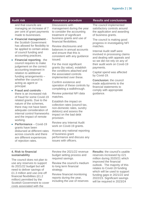and that councils are managing an increase of 7 per cent of grant payments made to businesses.

- **Financial management**  the Scottish Government has allowed for flexibility to be applied to certain areas of council funding and accounting practices.
- **Financial reporting** the council requires to make judgement on the correct accounting treatment in relation to additional funding arrangements – whether the council is acting as agent or principal.
- **Fraud and controls** there is an increased risk of fraud for some Covid-19 related grants. Due to the nature of the schemes, there may not have been adequate consideration of internal control frameworks and the impact of remote working.
- **Performance** Covid-19 grants have been disbursed at different rates across councils and there are different experiences of rejection rates.

Discussions with management during the year to consider the accounting treatment of significant business grants and use of financial flexibilities.

Review disclosures and balances in annual accounts and ensure that this is consistent with any guidance issued.

For the most significant grants (by value), establish the conditions attached and the associated controls implemented over these.

Confirm existence and operation of these controls by completing a walkthrough.

Review potential NFI data matches.

Establish the impact on collection rates (council tax, non-domestic rates, sundry debtors) and assess the impact on the bad debt provision.

Review any Internal Audit work on Covid-19 grants.

Assess any national reporting of business grant performance and discuss any issues with officers.

#### **Audit risk Assurance procedure Results and conclusions**

The council implemented satisfactory controls around the application and awarding of business grants.

The council is making good progress in investigating NFI matches.

Internal Audit staff were involved in processing claims and dealing with appeals and so we did not rely on any of their audit work on Covid-19 payments.

Capital spend was affected by Covid-19.

**Conclusion:** the council made adjustments to the financial statements to comply with appropriate guidance.

#### **4. Risk to financial sustainability**

The council does not plan to use any reserves to support its 2021/22 budget but will need to deliver savings of £1.3 million and use one-off financial flexibilities (£1.2 million) permitted by the Scottish Government to cover costs associated with the

Review the 2021/22 revenue budget setting process and required savings.

Review the council's medium to long term financial strategy.

Review financial monitoring reports during the year, including the use of reserves **Results:** the council's usable reserves increased by £21 million during 2020/21 which improved the financial outlook. The majority of this relates to Covid-19 funding which will be used to support funding gaps in 2021/22 and 2022/23. Significant savings will be required in 2023/24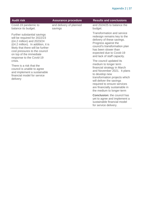| <b>Audit risk</b>                                                                                                                                                                                                                                            | <b>Assurance procedure</b>         | <b>Results and conclusions</b>                                                                                                                                                                                                                                                              |
|--------------------------------------------------------------------------------------------------------------------------------------------------------------------------------------------------------------------------------------------------------------|------------------------------------|---------------------------------------------------------------------------------------------------------------------------------------------------------------------------------------------------------------------------------------------------------------------------------------------|
| Covid-19 pandemic to<br>balance its budget.                                                                                                                                                                                                                  | and delivery of planned<br>savings | and 2024/25 to balance the<br>budget.                                                                                                                                                                                                                                                       |
| Further substantial savings<br>will be required for 2022/23<br>(£4.2 million) and 2023/24<br>(£4.2 million). In addition, it is<br>likely that there will be further<br>cost pressures to the council<br>on top of the immediate<br>response to the Covid-19 |                                    | <b>Transformation and service</b><br>redesign remains key to the<br>delivery of these savings.<br>Progress against the<br>council's transformation plan<br>has been slower than<br>expected due to Covid-19<br>and lack of staff capacity.                                                  |
| crisis.<br>There is a risk that the<br>council is unable to agree<br>and implement a sustainable<br>financial model for service<br>delivery                                                                                                                  |                                    | The council updated its<br>medium to longer term<br>financial strategy in March<br>and November 2021. It plans<br>to develop new<br>transformation projects which<br>will deliver the savings<br>required to ensure services<br>are financially sustainable in<br>the medium to longer-term |
|                                                                                                                                                                                                                                                              |                                    | <b>Conclusion: the council has</b><br>yet to agree and implement a<br>sustainable financial model<br>for service delivery.                                                                                                                                                                  |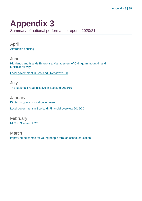## <span id="page-37-0"></span>**Appendix 3**

Summary of national performance reports 2020/21

April [Affordable housing](https://www.audit-scotland.gov.uk/report/affordable-housing)

**June** [Highlands and Islands Enterprise: Management of Cairngorm mountain and](https://www.audit-scotland.gov.uk/report/highlands-and-islands-enterprise-management-of-cairngorm-mountain-and-funicular-railway)  [funicular railway](https://www.audit-scotland.gov.uk/report/highlands-and-islands-enterprise-management-of-cairngorm-mountain-and-funicular-railway)

[Local government in Scotland Overview 2020](https://www.audit-scotland.gov.uk/report/local-government-in-scotland-overview-2020)

July [The National Fraud Initiative in Scotland 2018/19](https://www.audit-scotland.gov.uk/report/the-national-fraud-initiative-in-scotland-201819)

**January** [Digital progress in local government](https://www.audit-scotland.gov.uk/report/digital-progress-in-local-government) [Local government in Scotland: Financial overview 2019/20](https://www.audit-scotland.gov.uk/report/local-government-in-scotland-financial-overview-201920)

February [NHS in Scotland 2020](https://www.audit-scotland.gov.uk/report/nhs-in-scotland-2020)

March [Improving outcomes for young people through school education](https://www.audit-scotland.gov.uk/report/improving-outcomes-for-young-people-through-school-education)